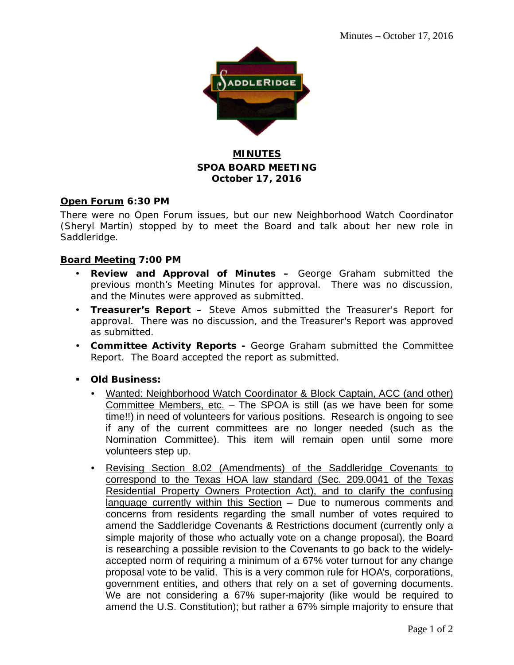

# **MINUTES SPOA BOARD MEETING October 17, 2016**

# **Open Forum 6:30 PM**

There were no Open Forum issues, but our new Neighborhood Watch Coordinator (Sheryl Martin) stopped by to meet the Board and talk about her new role in Saddleridge.

# **Board Meeting 7:00 PM**

- **Review and Approval of Minutes –** George Graham submitted the previous month's Meeting Minutes for approval. There was no discussion, and the Minutes were approved as submitted.
- **Treasurer's Report –** Steve Amos submitted the Treasurer's Report for approval. There was no discussion, and the Treasurer's Report was approved as submitted.
- **Committee Activity Reports -** George Graham submitted the Committee Report. The Board accepted the report as submitted.
- **Old Business:**
	- Wanted: Neighborhood Watch Coordinator & Block Captain, ACC (and other) Committee Members, etc. – The SPOA is still (as we have been for some time!!) in need of volunteers for various positions. Research is ongoing to see if any of the current committees are no longer needed (such as the Nomination Committee). This item will remain open until some more volunteers step up.
	- Revising Section 8.02 (Amendments) of the Saddleridge Covenants to correspond to the Texas HOA law standard (Sec. 209.0041 of the Texas Residential Property Owners Protection Act), and to clarify the confusing language currently within this Section – Due to numerous comments and concerns from residents regarding the small number of votes required to amend the Saddleridge Covenants & Restrictions document (currently only a simple majority of those who actually vote on a change proposal), the Board is researching a possible revision to the Covenants to go back to the widelyaccepted norm of requiring a minimum of a 67% voter turnout for any change proposal vote to be valid. This is a very common rule for HOA's, corporations, government entities, and others that rely on a set of governing documents. We are not considering a 67% super-majority (like would be required to amend the U.S. Constitution); but rather a 67% simple majority to ensure that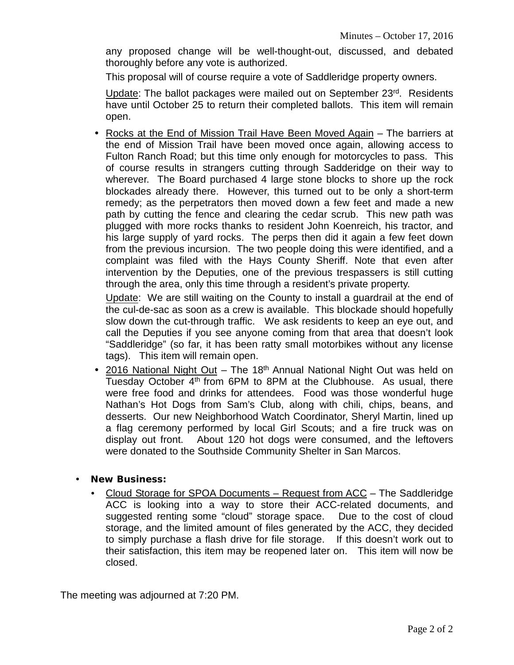any proposed change will be well-thought-out, discussed, and debated thoroughly before any vote is authorized.

This proposal will of course require a vote of Saddleridge property owners.

Update: The ballot packages were mailed out on September 23rd. Residents have until October 25 to return their completed ballots. This item will remain open.

• Rocks at the End of Mission Trail Have Been Moved Again – The barriers at the end of Mission Trail have been moved once again, allowing access to Fulton Ranch Road; but this time only enough for motorcycles to pass. This of course results in strangers cutting through Sadderidge on their way to wherever. The Board purchased 4 large stone blocks to shore up the rock blockades already there. However, this turned out to be only a short-term remedy; as the perpetrators then moved down a few feet and made a new path by cutting the fence and clearing the cedar scrub. This new path was plugged with more rocks thanks to resident John Koenreich, his tractor, and his large supply of yard rocks. The perps then did it again a few feet down from the previous incursion. The two people doing this were identified, and a complaint was filed with the Hays County Sheriff. Note that even after intervention by the Deputies, one of the previous trespassers is still cutting through the area, only this time through a resident's private property.

Update: We are still waiting on the County to install a guardrail at the end of the cul-de-sac as soon as a crew is available. This blockade should hopefully slow down the cut-through traffic. We ask residents to keep an eye out, and call the Deputies if you see anyone coming from that area that doesn't look "Saddleridge" (so far, it has been ratty small motorbikes without any license tags). This item will remain open.

• 2016 National Night Out - The 18<sup>th</sup> Annual National Night Out was held on Tuesday October  $4<sup>th</sup>$  from 6PM to 8PM at the Clubhouse. As usual, there were free food and drinks for attendees. Food was those wonderful huge Nathan's Hot Dogs from Sam's Club, along with chili, chips, beans, and desserts. Our new Neighborhood Watch Coordinator, Sheryl Martin, lined up a flag ceremony performed by local Girl Scouts; and a fire truck was on display out front. About 120 hot dogs were consumed, and the leftovers were donated to the Southside Community Shelter in San Marcos.

# **New Business:**

 Cloud Storage for SPOA Documents – Request from ACC – The Saddleridge ACC is looking into a way to store their ACC-related documents, and suggested renting some "cloud" storage space. Due to the cost of cloud storage, and the limited amount of files generated by the ACC, they decided to simply purchase a flash drive for file storage. If this doesn't work out to their satisfaction, this item may be reopened later on. This item will now be closed.

The meeting was adjourned at 7:20 PM.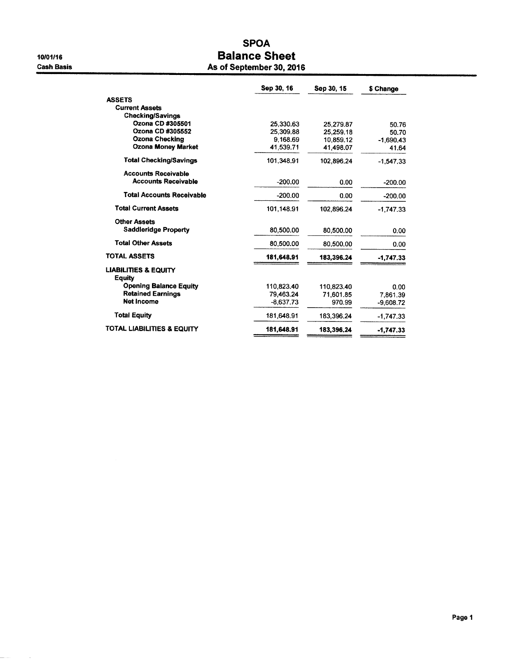10/01/16 **Cash Basis** 

 $\sim$ 

# **SPOA Balance Sheet** As of September 30, 2016

|                                                  | Sep 30, 16  | Sep 30, 15 | \$ Change   |
|--------------------------------------------------|-------------|------------|-------------|
| <b>ASSETS</b>                                    |             |            |             |
| <b>Current Assets</b>                            |             |            |             |
| <b>Checking/Savings</b>                          |             |            |             |
| Ozona CD #305501                                 | 25,330.63   | 25.279.87  | 50.76       |
| Ozona CD #305552                                 | 25,309.88   | 25.259.18  | 50.70       |
| Ozona Checking                                   | 9.168.69    | 10.859.12  | $-1,690.43$ |
| <b>Ozona Money Market</b>                        | 41,539.71   | 41.498.07  | 41.64       |
| <b>Total Checking/Savings</b>                    | 101,348.91  | 102,896.24 | $-1,547.33$ |
| <b>Accounts Receivable</b>                       |             |            |             |
| <b>Accounts Receivable</b>                       | $-200.00$   | 0.00       | $-200.00$   |
| <b>Total Accounts Receivable</b>                 | $-200.00$   | 0.00       | $-200.00$   |
| <b>Total Current Assets</b>                      | 101.148.91  | 102.896.24 | $-1,747.33$ |
| <b>Other Assets</b>                              |             |            |             |
| <b>Saddleridge Property</b>                      | 80,500.00   | 80,500.00  | 0.00        |
| <b>Total Other Assets</b>                        | 80,500,00   | 80,500,00  | 0.00        |
| <b>TOTAL ASSETS</b>                              | 181,648.91  | 183,396.24 | $-1,747,33$ |
| <b>LIABILITIES &amp; EQUITY</b><br><b>Equity</b> |             |            |             |
| <b>Opening Balance Equity</b>                    | 110,823.40  | 110,823.40 | 0.00        |
| <b>Retained Earnings</b>                         | 79.463.24   | 71,601.85  | 7.861.39    |
| Net Income                                       | $-8,637.73$ | 970.99     | $-9.608.72$ |
| <b>Total Equity</b>                              | 181,648.91  | 183 396 24 | $-1,747.33$ |
| TOTAL LIABILITIES & EQUITY                       | 181,648.91  | 183,396.24 | $-1,747.33$ |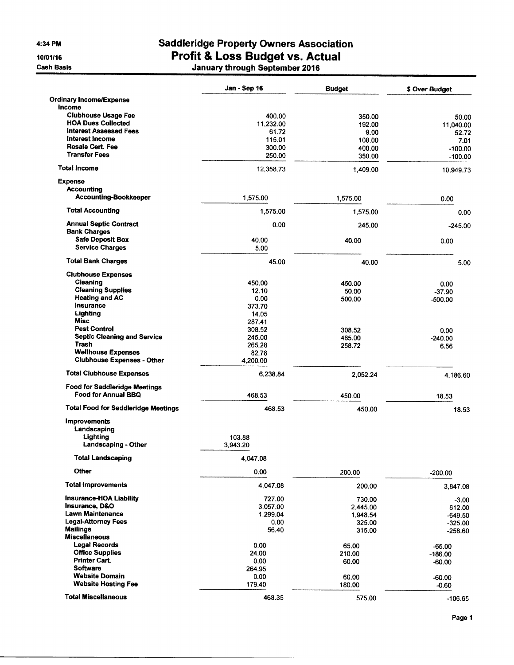4:34 PM

10/01/16

**Cash Basis** 

# **Saddleridge Property Owners Association** Profit & Loss Budget vs. Actual<br>January through September 2016

|                                                             | Jan - Sep 16 | <b>Budget</b> | \$ Over Budget |
|-------------------------------------------------------------|--------------|---------------|----------------|
| <b>Ordinary Income/Expense</b>                              |              |               |                |
| Income                                                      |              |               |                |
| <b>Clubhouse Usage Fee</b>                                  | 400.00       | 350.00        | 50.00          |
| <b>HOA Dues Collected</b>                                   | 11,232.00    | 192.00        | 11,040.00      |
| <b>Interest Assessed Fees</b>                               | 61.72        | 9.00          | 52.72          |
| Interest Income                                             | 115.01       | 108.00        | 7.01           |
| <b>Resale Cert Fee</b>                                      | 300.00       | 400.00        | $-100.00$      |
| <b>Transfer Fees</b>                                        | 250.00       | 350.00        | $-100.00$      |
| <b>Total Income</b>                                         | 12,358.73    | 1,409.00      | 10,949.73      |
| <b>Expense</b>                                              |              |               |                |
| Accounting                                                  |              |               |                |
| <b>Accounting-Bookkeeper</b>                                | 1,575.00     | 1,575.00      | 0.00           |
| <b>Total Accounting</b>                                     | 1,575.00     | 1,575.00      | 0.00           |
| <b>Annual Septic Contract</b>                               | 0.00         | 245.00        | $-245.00$      |
| <b>Bank Charges</b>                                         |              |               |                |
| <b>Safe Deposit Box</b>                                     | 40.00        | 40.00         | 0.00           |
| <b>Service Charges</b>                                      | 5.00         |               |                |
| <b>Total Bank Charges</b>                                   | 45.00        | 40.00         | 5.00           |
| <b>Clubhouse Expenses</b>                                   |              |               |                |
| Cleaning                                                    | 450.00       | 450.00        | 0.00           |
| <b>Cleaning Supplies</b>                                    | 12.10        | 50.00         | $-37.90$       |
| <b>Heating and AC</b>                                       | 0.00         | 500.00        | $-500.00$      |
| Insurance                                                   | 373.70       |               |                |
| Lighting                                                    | 14.05        |               |                |
| <b>Misc</b>                                                 | 287.41       |               |                |
| <b>Pest Control</b>                                         | 308.52       | 308.52        | 0.00           |
| <b>Septic Cleaning and Service</b>                          | 245.00       | 485.00        | $-240.00$      |
| Trash                                                       | 265.28       | 258.72        | 6.56           |
| <b>Wellhouse Expenses</b>                                   | 82.78        |               |                |
| <b>Clubhouse Expenses - Other</b>                           | 4,200.00     |               |                |
| <b>Total Clubhouse Expenses</b>                             | 6,238.84     | 2,052.24      | 4,186.60       |
|                                                             |              |               |                |
| <b>Food for Saddleridge Meetings</b><br>Food for Annual BBQ | 468.53       | 450.00        | 18.53          |
| <b>Total Food for Saddleridge Meetings</b>                  | 468.53       | 450.00        | 18.53          |
| <b>Improvements</b>                                         |              |               |                |
| Landscaping                                                 |              |               |                |
| Lighting                                                    | 103.88       |               |                |
| <b>Landscaping - Other</b>                                  | 3.943.20     |               |                |
| <b>Total Landscaping</b>                                    | 4,047.08     |               |                |
| Other                                                       | 0.00         | 200.00        | $-200.00$      |
| <b>Total Improvements</b>                                   | 4,047.08     | 200.00        | 3,847.08       |
| <b>Insurance-HOA Liability</b>                              | 727.00       | 730.00        | $-3.00$        |
| <b>Insurance, D&amp;O</b>                                   | 3,057.00     | 2,445.00      | 612.00         |
| <b>Lawn Maintenance</b>                                     | 1,299.04     | 1,948.54      | $-649.50$      |
| <b>Legal-Attorney Fees</b>                                  | 0.00         | 325.00        | $-325.00$      |
| <b>Mailings</b><br><b>Miscellaneous</b>                     | 56.40        | 315.00        | $-258.60$      |
| <b>Legal Records</b>                                        | 0.00         | 65.00         | $-65.00$       |
| <b>Office Supplies</b>                                      | 24.00        | 210.00        | $-186.00$      |
| <b>Printer Cart.</b>                                        | 0.00         | 60.00         | $-60.00$       |
| <b>Software</b>                                             | 264.95       |               |                |
| <b>Website Domain</b>                                       | 0.00         | 60.00         | $-60.00$       |
| <b>Website Hosting Fee</b>                                  | 179.40       | 180.00        | $-0.60$        |
|                                                             |              |               |                |
| <b>Total Miscellaneous</b>                                  | 468.35       | 575.00        | $-106.65$      |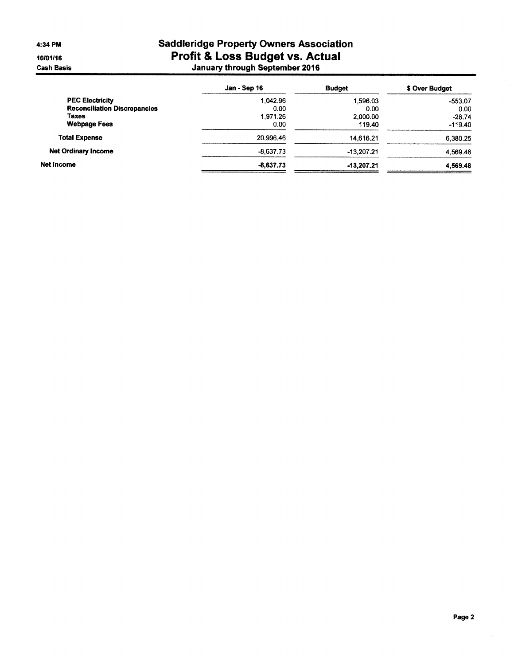4:34 PM

10/01/16 **Cash Basis** 

# **Saddleridge Property Owners Association** Profit & Loss Budget vs. Actual<br>January through September 2016

|                                     | Jan - Sep 16 | <b>Budget</b> | \$ Over Budget |
|-------------------------------------|--------------|---------------|----------------|
| <b>PEC Electricity</b>              | 1.042.96     | 1.596.03      | $-553.07$      |
| <b>Reconciliation Discrepancies</b> | 0.00         | 0.00          | 0.00           |
| Taxes                               | 1.971.26     | 2,000.00      | $-28.74$       |
| <b>Webpage Fees</b>                 | 0.00         | 119.40        | $-119.40$      |
| <b>Total Expense</b>                | 20.996.46    | 14,616.21     | 6,380.25       |
| <b>Net Ordinary Income</b>          | $-8,637.73$  | $-13,207.21$  | 4,569.48       |
| Net Income                          | $-8,637,73$  | -13,207,21    | 4,569.48       |